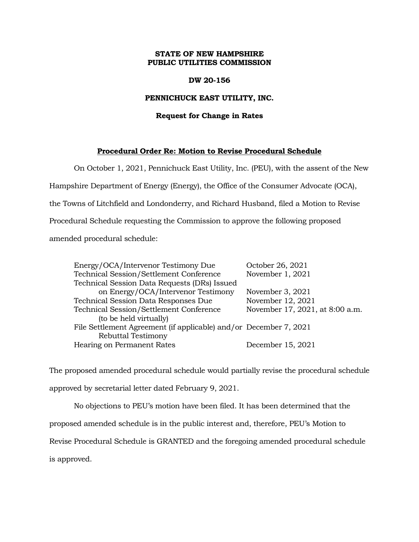## **STATE OF NEW HAMPSHIRE PUBLIC UTILITIES COMMISSION**

#### **DW 20-156**

### **PENNICHUCK EAST UTILITY, INC.**

## **Request for Change in Rates**

## **Procedural Order Re: Motion to Revise Procedural Schedule**

On October 1, 2021, Pennichuck East Utility, Inc. (PEU), with the assent of the New Hampshire Department of Energy (Energy), the Office of the Consumer Advocate (OCA), the Towns of Litchfield and Londonderry, and Richard Husband, filed a Motion to Revise Procedural Schedule requesting the Commission to approve the following proposed amended procedural schedule:

| Energy/OCA/Intervenor Testimony Due                               | October 26, 2021                |
|-------------------------------------------------------------------|---------------------------------|
| Technical Session/Settlement Conference                           | November 1, 2021                |
| Technical Session Data Requests (DRs) Issued                      |                                 |
| on Energy/OCA/Intervenor Testimony                                | November 3, 2021                |
| Technical Session Data Responses Due                              | November 12, 2021               |
| Technical Session/Settlement Conference                           | November 17, 2021, at 8:00 a.m. |
| (to be held virtually)                                            |                                 |
| File Settlement Agreement (if applicable) and/or December 7, 2021 |                                 |
| Rebuttal Testimony                                                |                                 |
| Hearing on Permanent Rates                                        | December 15, 2021               |

The proposed amended procedural schedule would partially revise the procedural schedule approved by secretarial letter dated February 9, 2021.

No objections to PEU's motion have been filed. It has been determined that the proposed amended schedule is in the public interest and, therefore, PEU's Motion to Revise Procedural Schedule is GRANTED and the foregoing amended procedural schedule is approved.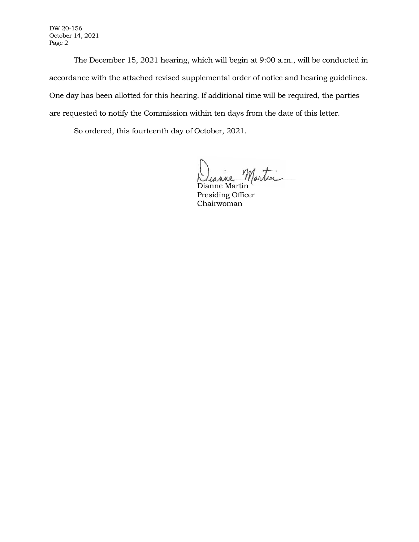DW 20-156 October 14, 2021 Page 2

The December 15, 2021 hearing, which will begin at 9:00 a.m., will be conducted in accordance with the attached revised supplemental order of notice and hearing guidelines. One day has been allotted for this hearing. If additional time will be required, the parties are requested to notify the Commission within ten days from the date of this letter.

So ordered, this fourteenth day of October, 2021.

Diagne Martin

Dianne Martin Presiding Officer Chairwoman